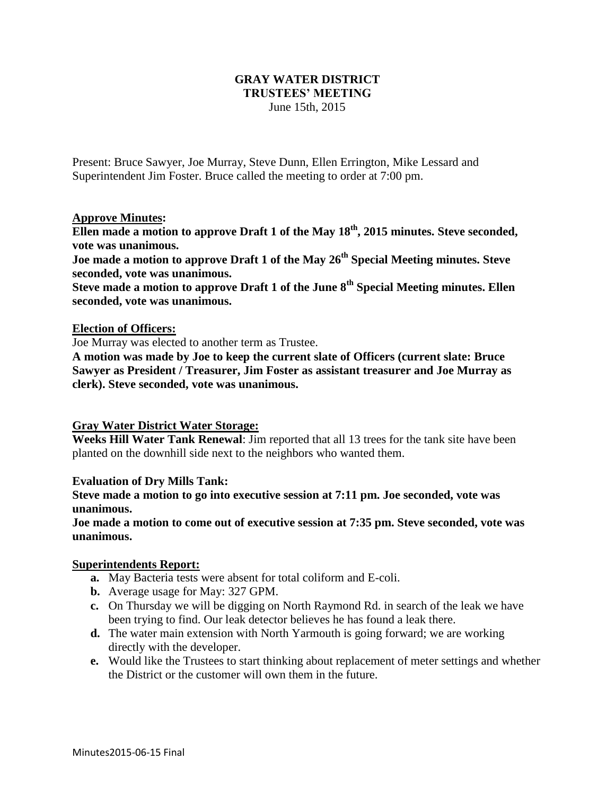### **GRAY WATER DISTRICT TRUSTEES' MEETING** June 15th, 2015

Present: Bruce Sawyer, Joe Murray, Steve Dunn, Ellen Errington, Mike Lessard and Superintendent Jim Foster. Bruce called the meeting to order at 7:00 pm.

### **Approve Minutes:**

**Ellen made a motion to approve Draft 1 of the May 18th, 2015 minutes. Steve seconded, vote was unanimous.**

**Joe made a motion to approve Draft 1 of the May 26th Special Meeting minutes. Steve seconded, vote was unanimous.**

**Steve made a motion to approve Draft 1 of the June 8th Special Meeting minutes. Ellen seconded, vote was unanimous.**

#### **Election of Officers:**

Joe Murray was elected to another term as Trustee.

**A motion was made by Joe to keep the current slate of Officers (current slate: Bruce Sawyer as President / Treasurer, Jim Foster as assistant treasurer and Joe Murray as clerk). Steve seconded, vote was unanimous.** 

## **Gray Water District Water Storage:**

**Weeks Hill Water Tank Renewal**: Jim reported that all 13 trees for the tank site have been planted on the downhill side next to the neighbors who wanted them.

#### **Evaluation of Dry Mills Tank:**

**Steve made a motion to go into executive session at 7:11 pm. Joe seconded, vote was unanimous.**

**Joe made a motion to come out of executive session at 7:35 pm. Steve seconded, vote was unanimous.**

#### **Superintendents Report:**

- **a.** May Bacteria tests were absent for total coliform and E-coli.
- **b.** Average usage for May: 327 GPM.
- **c.** On Thursday we will be digging on North Raymond Rd. in search of the leak we have been trying to find. Our leak detector believes he has found a leak there.
- **d.** The water main extension with North Yarmouth is going forward; we are working directly with the developer.
- **e.** Would like the Trustees to start thinking about replacement of meter settings and whether the District or the customer will own them in the future.